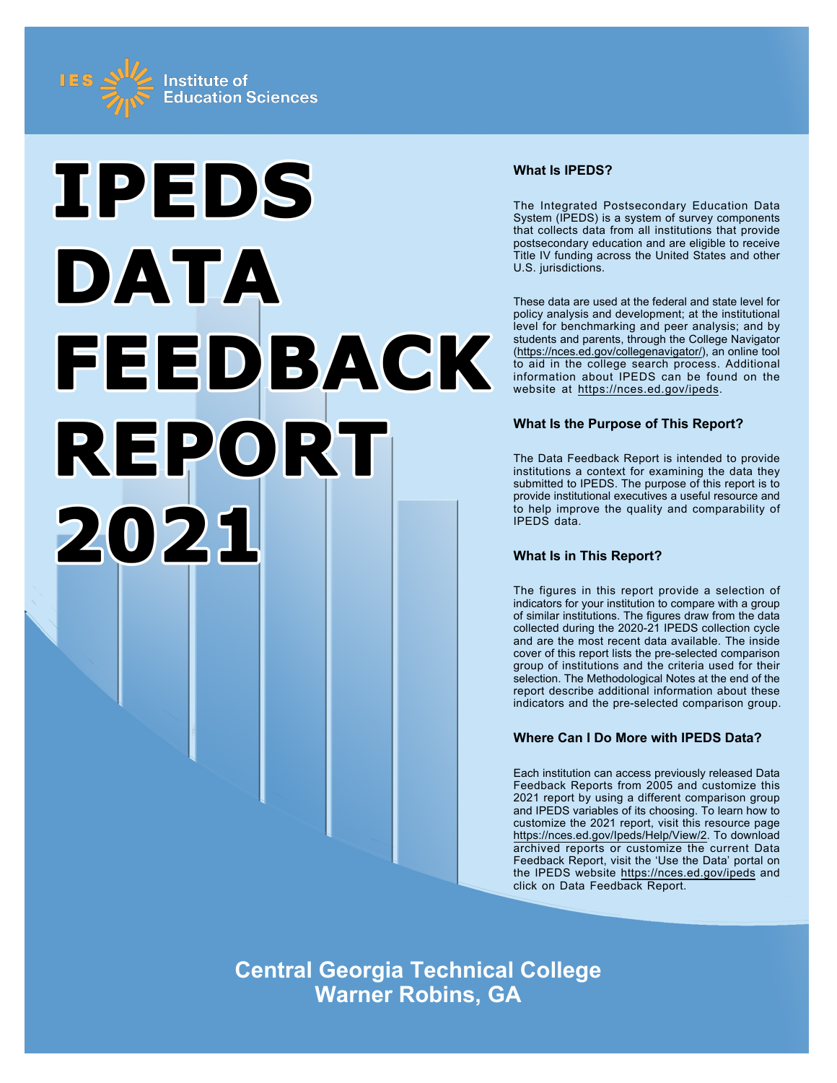



## **What Is IPEDS?**

The Integrated Postsecondary Education Data System (IPEDS) is a system of survey components that collects data from all institutions that provide postsecondary education and are eligible to receive Title IV funding across the United States and other U.S. jurisdictions.

These data are used at the federal and state level for policy analysis and development; at the institutional level for benchmarking and peer analysis; and by students and parents, through the College Navigator ([https://nces.ed.gov/collegenavigator/\)](https://nces.ed.gov/collegenavigator/), an online tool to aid in the college search process. Additional information about IPEDS can be found on the website at<https://nces.ed.gov/ipeds>.

## **What Is the Purpose of This Report?**

The Data Feedback Report is intended to provide institutions a context for examining the data they submitted to IPEDS. The purpose of this report is to provide institutional executives a useful resource and to help improve the quality and comparability of IPEDS data.

## **What Is in This Report?**

The figures in this report provide a selection of indicators for your institution to compare with a group of similar institutions. The figures draw from the data collected during the 2020-21 IPEDS collection cycle and are the most recent data available. The inside cover of this report lists the pre-selected comparison group of institutions and the criteria used for their selection. The Methodological Notes at the end of the report describe additional information about these indicators and the pre-selected comparison group.

## **Where Can I Do More with IPEDS Data?**

Each institution can access previously released Data Feedback Reports from 2005 and customize this 2021 report by using a different comparison group and IPEDS variables of its choosing. To learn how to customize the 2021 report, visit this resource page <https://nces.ed.gov/Ipeds/Help/View/2>. To download archived reports or customize the current Data Feedback Report, visit the 'Use the Data' portal on the IPEDS website<https://nces.ed.gov/ipeds> and click on Data Feedback Report.

**Central Georgia Technical College Warner Robins, GA**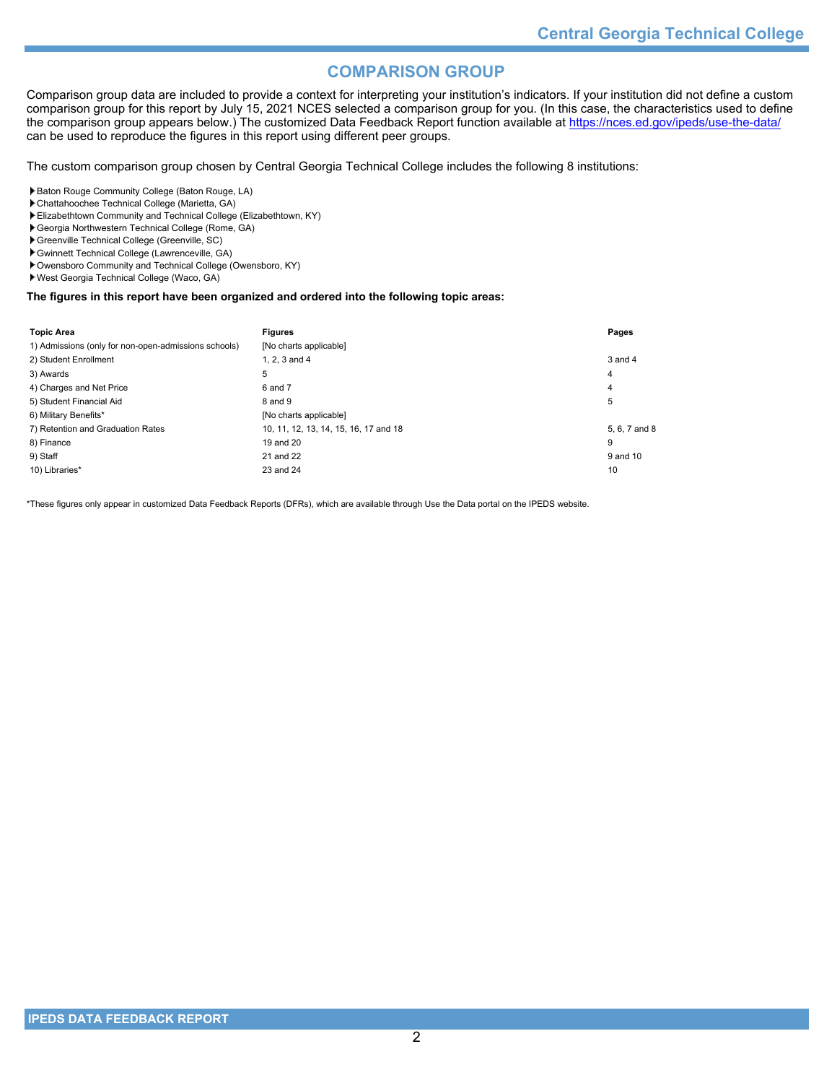## **COMPARISON GROUP**

Comparison group data are included to provide a context for interpreting your institution's indicators. If your institution did not define a custom comparison group for this report by July 15, 2021 NCES selected a comparison group for you. (In this case, the characteristics used to define the comparison group appears below.) The customized Data Feedback Report function available at<https://nces.ed.gov/ipeds/use-the-data/> can be used to reproduce the figures in this report using different peer groups.

The custom comparison group chosen by Central Georgia Technical College includes the following 8 institutions:

- Baton Rouge Community College (Baton Rouge, LA)
- Chattahoochee Technical College (Marietta, GA)
- Elizabethtown Community and Technical College (Elizabethtown, KY)
- Georgia Northwestern Technical College (Rome, GA)
- Greenville Technical College (Greenville, SC)
- Gwinnett Technical College (Lawrenceville, GA)
- Owensboro Community and Technical College (Owensboro, KY)
- West Georgia Technical College (Waco, GA)

## **The figures in this report have been organized and ordered into the following topic areas:**

| <b>Topic Area</b>                                    | <b>Figures</b>                        | Pages         |
|------------------------------------------------------|---------------------------------------|---------------|
| 1) Admissions (only for non-open-admissions schools) | [No charts applicable]                |               |
| 2) Student Enrollment                                | 1. $2.3$ and $4$                      | $3$ and $4$   |
| 3) Awards                                            | 5                                     | 4             |
| 4) Charges and Net Price                             | 6 and 7                               | 4             |
| 5) Student Financial Aid                             | 8 and 9                               | 5             |
| 6) Military Benefits*                                | [No charts applicable]                |               |
| 7) Retention and Graduation Rates                    | 10, 11, 12, 13, 14, 15, 16, 17 and 18 | 5, 6, 7 and 8 |
| 8) Finance                                           | 19 and 20                             | 9             |
| 9) Staff                                             | 21 and 22                             | 9 and 10      |
| 10) Libraries*                                       | 23 and 24                             | 10            |

\*These figures only appear in customized Data Feedback Reports (DFRs), which are available through Use the Data portal on the IPEDS website.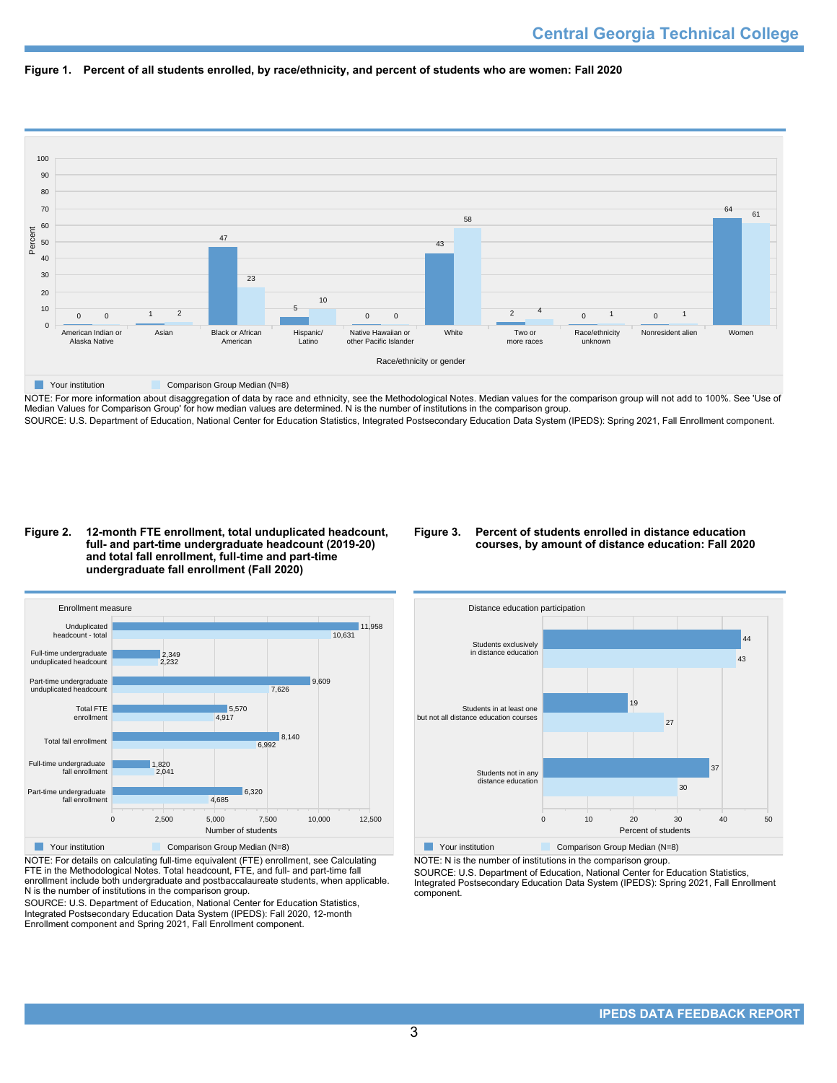



NOTE: For more information about disaggregation of data by race and ethnicity, see the Methodological Notes. Median values for the comparison group will not add to 100%. See 'Use of Median Values for Comparison Group' for how median values are determined. N is the number of institutions in the comparison group. SOURCE: U.S. Department of Education, National Center for Education Statistics, Integrated Postsecondary Education Data System (IPEDS): Spring 2021, Fall Enrollment component.

### **Figure 2. 12-month FTE enrollment, total unduplicated headcount, full- and part-time undergraduate headcount (2019-20) and total fall enrollment, full-time and part-time undergraduate fall enrollment (Fall 2020)**

## **Figure 3. Percent of students enrolled in distance education courses, by amount of distance education: Fall 2020**



NOTE: For details on calculating full-time equivalent (FTE) enrollment, see Calculating FTE in the Methodological Notes. Total headcount, FTE, and full- and part-time fall enrollment include both undergraduate and postbaccalaureate students, when applicable. N is the number of institutions in the comparison group.

SOURCE: U.S. Department of Education, National Center for Education Statistics, Integrated Postsecondary Education Data System (IPEDS): Fall 2020, 12-month Enrollment component and Spring 2021, Fall Enrollment component.



NOTE: N is the number of institutions in the comparison group.

SOURCE: U.S. Department of Education, National Center for Education Statistics, Integrated Postsecondary Education Data System (IPEDS): Spring 2021, Fall Enrollment component.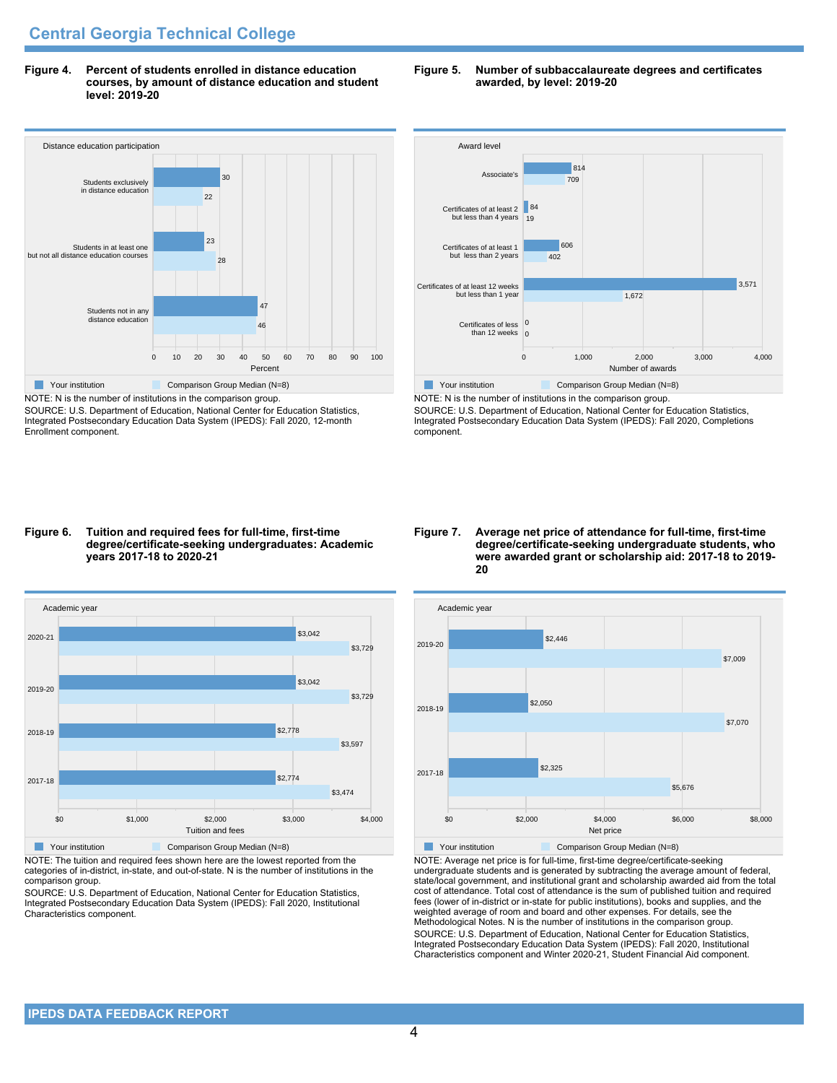**Figure 4. Percent of students enrolled in distance education courses, by amount of distance education and student level: 2019-20**



SOURCE: U.S. Department of Education, National Center for Education Statistics, Integrated Postsecondary Education Data System (IPEDS): Fall 2020, 12-month Enrollment component.





NOTE: N is the number of institutions in the comparison group. SOURCE: U.S. Department of Education, National Center for Education Statistics, Integrated Postsecondary Education Data System (IPEDS): Fall 2020, Completions component.

#### **Figure 6. Tuition and required fees for full-time, first-time degree/certificate-seeking undergraduates: Academic years 2017-18 to 2020-21**



NOTE: The tuition and required fees shown here are the lowest reported from the categories of in-district, in-state, and out-of-state. N is the number of institutions in the comparison group.

SOURCE: U.S. Department of Education, National Center for Education Statistics, Integrated Postsecondary Education Data System (IPEDS): Fall 2020, Institutional Characteristics component.

#### **Figure 7. Average net price of attendance for full-time, first-time degree/certificate-seeking undergraduate students, who were awarded grant or scholarship aid: 2017-18 to 2019- 20**



NOTE: Average net price is for full-time, first-time degree/certificate-seeking undergraduate students and is generated by subtracting the average amount of federal, state/local government, and institutional grant and scholarship awarded aid from the total cost of attendance. Total cost of attendance is the sum of published tuition and required fees (lower of in-district or in-state for public institutions), books and supplies, and the weighted average of room and board and other expenses. For details, see the Methodological Notes. N is the number of institutions in the comparison group. SOURCE: U.S. Department of Education, National Center for Education Statistics, Integrated Postsecondary Education Data System (IPEDS): Fall 2020, Institutional Characteristics component and Winter 2020-21, Student Financial Aid component.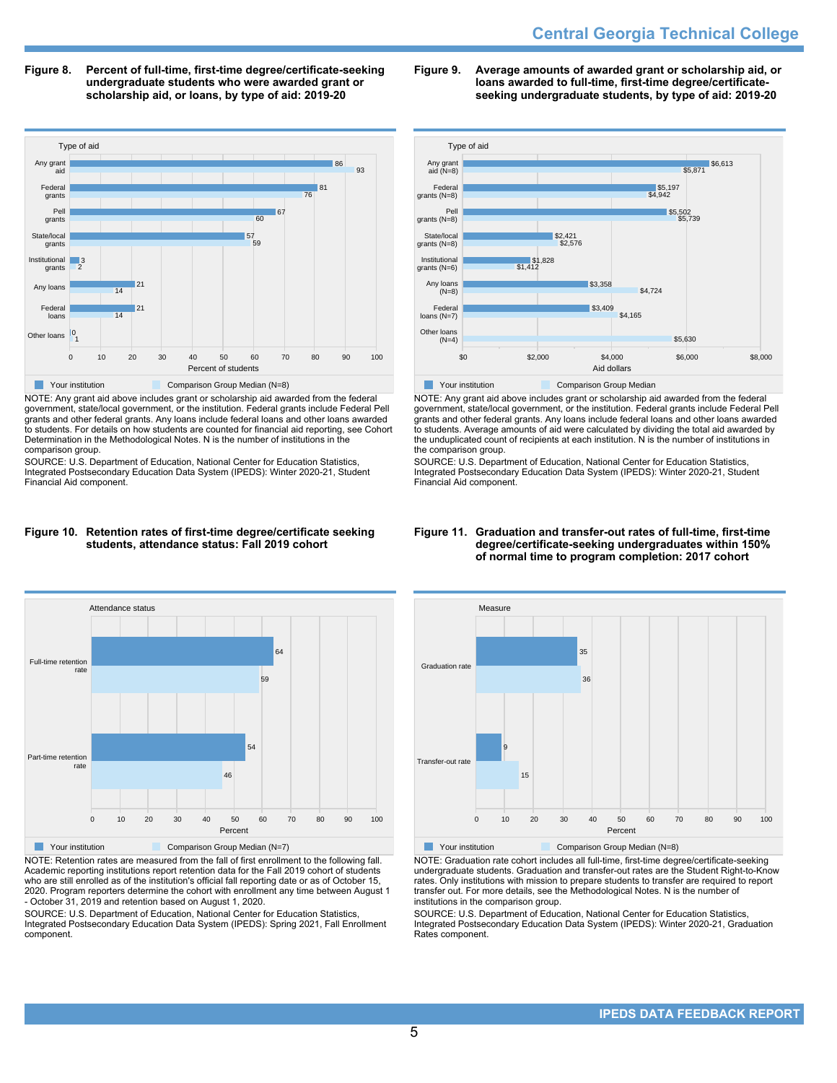# **Central Georgia Technical College**

**Figure 8. Percent of full-time, first-time degree/certificate-seeking undergraduate students who were awarded grant or scholarship aid, or loans, by type of aid: 2019-20**



NOTE: Any grant aid above includes grant or scholarship aid awarded from the federal government, state/local government, or the institution. Federal grants include Federal Pell grants and other federal grants. Any loans include federal loans and other loans awarded to students. For details on how students are counted for financial aid reporting, see Cohort Determination in the Methodological Notes. N is the number of institutions in the comparison group.

SOURCE: U.S. Department of Education, National Center for Education Statistics, Integrated Postsecondary Education Data System (IPEDS): Winter 2020-21, Student Financial Aid component.

### **Figure 9. Average amounts of awarded grant or scholarship aid, or loans awarded to full-time, first-time degree/certificateseeking undergraduate students, by type of aid: 2019-20**



NOTE: Any grant aid above includes grant or scholarship aid awarded from the federal government, state/local government, or the institution. Federal grants include Federal Pell grants and other federal grants. Any loans include federal loans and other loans awarded to students. Average amounts of aid were calculated by dividing the total aid awarded by the unduplicated count of recipients at each institution. N is the number of institutions in the comparison group.

SOURCE: U.S. Department of Education, National Center for Education Statistics, Integrated Postsecondary Education Data System (IPEDS): Winter 2020-21, Student Financial Aid component.

### **Figure 10. Retention rates of first-time degree/certificate seeking students, attendance status: Fall 2019 cohort**



NOTE: Retention rates are measured from the fall of first enrollment to the following fall. Academic reporting institutions report retention data for the Fall 2019 cohort of students who are still enrolled as of the institution's official fall reporting date or as of October 15, 2020. Program reporters determine the cohort with enrollment any time between August 1 - October 31, 2019 and retention based on August 1, 2020.

SOURCE: U.S. Department of Education, National Center for Education Statistics, Integrated Postsecondary Education Data System (IPEDS): Spring 2021, Fall Enrollment component.

### **Figure 11. Graduation and transfer-out rates of full-time, first-time degree/certificate-seeking undergraduates within 150% of normal time to program completion: 2017 cohort**



NOTE: Graduation rate cohort includes all full-time, first-time degree/certificate-seeking undergraduate students. Graduation and transfer-out rates are the Student Right-to-Know rates. Only institutions with mission to prepare students to transfer are required to report transfer out. For more details, see the Methodological Notes. N is the number of institutions in the comparison group.

SOURCE: U.S. Department of Education, National Center for Education Statistics, Integrated Postsecondary Education Data System (IPEDS): Winter 2020-21, Graduation Rates component.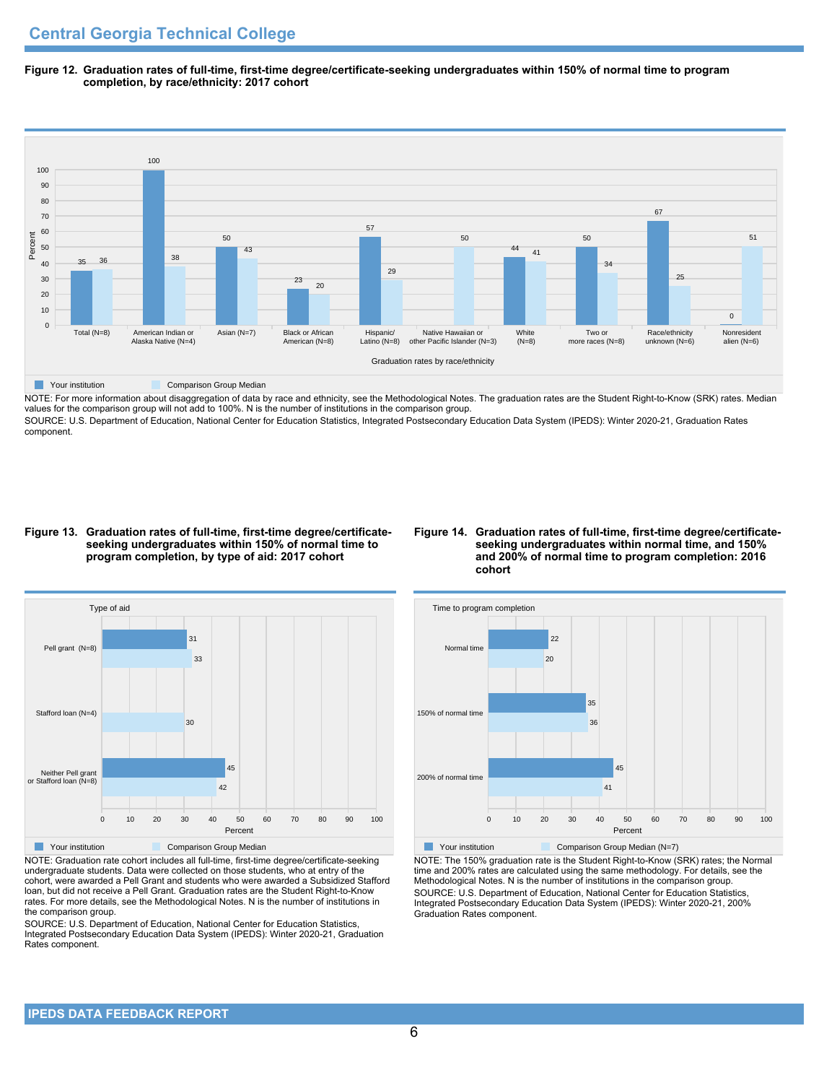**Figure 12. Graduation rates of full-time, first-time degree/certificate-seeking undergraduates within 150% of normal time to program completion, by race/ethnicity: 2017 cohort**



NOTE: For more information about disaggregation of data by race and ethnicity, see the Methodological Notes. The graduation rates are the Student Right-to-Know (SRK) rates. Median values for the comparison group will not add to 100%. N is the number of institutions in the comparison group.

SOURCE: U.S. Department of Education, National Center for Education Statistics, Integrated Postsecondary Education Data System (IPEDS): Winter 2020-21, Graduation Rates component.

### **Figure 13. Graduation rates of full-time, first-time degree/certificateseeking undergraduates within 150% of normal time to program completion, by type of aid: 2017 cohort**

## **Figure 14. Graduation rates of full-time, first-time degree/certificateseeking undergraduates within normal time, and 150% and 200% of normal time to program completion: 2016 cohort**



NOTE: Graduation rate cohort includes all full-time, first-time degree/certificate-seeking undergraduate students. Data were collected on those students, who at entry of the cohort, were awarded a Pell Grant and students who were awarded a Subsidized Stafford loan, but did not receive a Pell Grant. Graduation rates are the Student Right-to-Know rates. For more details, see the Methodological Notes. N is the number of institutions in the comparison group.

SOURCE: U.S. Department of Education, National Center for Education Statistics, Integrated Postsecondary Education Data System (IPEDS): Winter 2020-21, Graduation Rates component.



NOTE: The 150% graduation rate is the Student Right-to-Know (SRK) rates; the Normal time and 200% rates are calculated using the same methodology. For details, see the Methodological Notes. N is the number of institutions in the comparison group. SOURCE: U.S. Department of Education, National Center for Education Statistics, Integrated Postsecondary Education Data System (IPEDS): Winter 2020-21, 200% Graduation Rates component.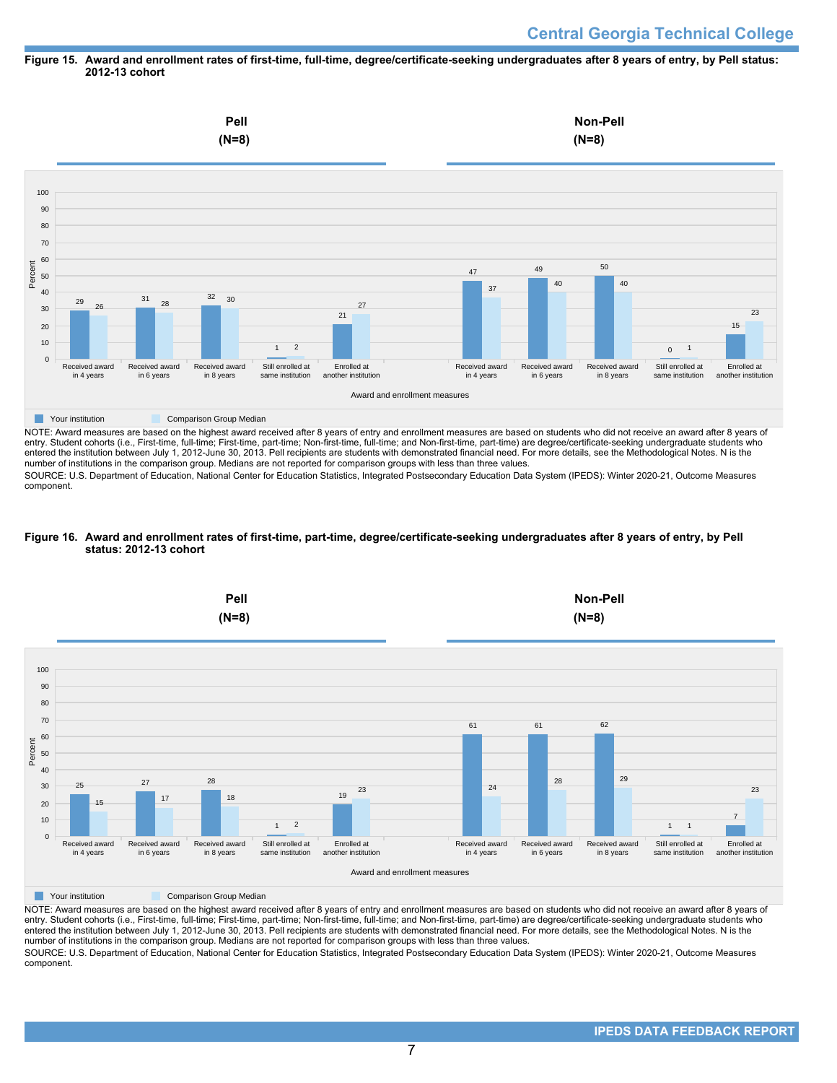### **Figure 15. Award and enrollment rates of first-time, full-time, degree/certificate-seeking undergraduates after 8 years of entry, by Pell status: 2012-13 cohort**



NOTE: Award measures are based on the highest award received after 8 years of entry and enrollment measures are based on students who did not receive an award after 8 years of entry. Student cohorts (i.e., First-time, full-time; First-time, part-time; Non-first-time, full-time; and Non-first-time, part-time) are degree/certificate-seeking undergraduate students who entered the institution between July 1, 2012-June 30, 2013. Pell recipients are students with demonstrated financial need. For more details, see the Methodological Notes. N is the number of institutions in the comparison group. Medians are not reported for comparison groups with less than three values.

SOURCE: U.S. Department of Education, National Center for Education Statistics, Integrated Postsecondary Education Data System (IPEDS): Winter 2020-21, Outcome Measures component.

## **Figure 16. Award and enrollment rates of first-time, part-time, degree/certificate-seeking undergraduates after 8 years of entry, by Pell status: 2012-13 cohort**



NOTE: Award measures are based on the highest award received after 8 years of entry and enrollment measures are based on students who did not receive an award after 8 years of entry. Student cohorts (i.e., First-time, full-time; First-time, part-time; Non-first-time, full-time; and Non-first-time, part-time) are degree/certificate-seeking undergraduate students who entered the institution between July 1, 2012-June 30, 2013. Pell recipients are students with demonstrated financial need. For more details, see the Methodological Notes. N is the number of institutions in the comparison group. Medians are not reported for comparison groups with less than three values. SOURCE: U.S. Department of Education, National Center for Education Statistics, Integrated Postsecondary Education Data System (IPEDS): Winter 2020-21, Outcome Measures component.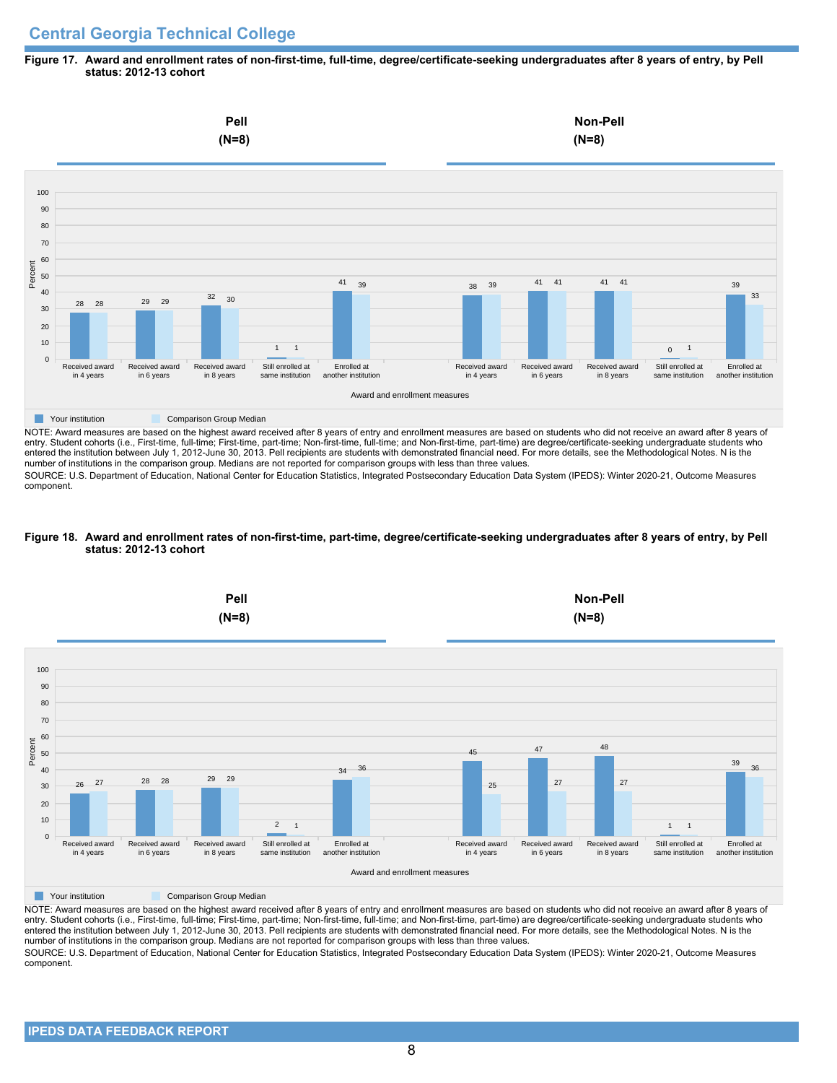## **Central Georgia Technical College**

### **Figure 17. Award and enrollment rates of non-first-time, full-time, degree/certificate-seeking undergraduates after 8 years of entry, by Pell status: 2012-13 cohort**



NOTE: Award measures are based on the highest award received after 8 years of entry and enrollment measures are based on students who did not receive an award after 8 years of entry. Student cohorts (i.e., First-time, full-time; First-time, part-time; Non-first-time, full-time; and Non-first-time, part-time) are degree/certificate-seeking undergraduate students who entered the institution between July 1, 2012-June 30, 2013. Pell recipients are students with demonstrated financial need. For more details, see the Methodological Notes. N is the number of institutions in the comparison group. Medians are not reported for comparison groups with less than three values.

SOURCE: U.S. Department of Education, National Center for Education Statistics, Integrated Postsecondary Education Data System (IPEDS): Winter 2020-21, Outcome Measures component.

### **Figure 18. Award and enrollment rates of non-first-time, part-time, degree/certificate-seeking undergraduates after 8 years of entry, by Pell status: 2012-13 cohort**



NOTE: Award measures are based on the highest award received after 8 years of entry and enrollment measures are based on students who did not receive an award after 8 years of entry. Student cohorts (i.e., First-time, full-time; First-time, part-time; Non-first-time, full-time; and Non-first-time, part-time) are degree/certificate-seeking undergraduate students who entered the institution between July 1, 2012-June 30, 2013. Pell recipients are students with demonstrated financial need. For more details, see the Methodological Notes. N is the number of institutions in the comparison group. Medians are not reported for comparison groups with less than three values. SOURCE: U.S. Department of Education, National Center for Education Statistics, Integrated Postsecondary Education Data System (IPEDS): Winter 2020-21, Outcome Measures component.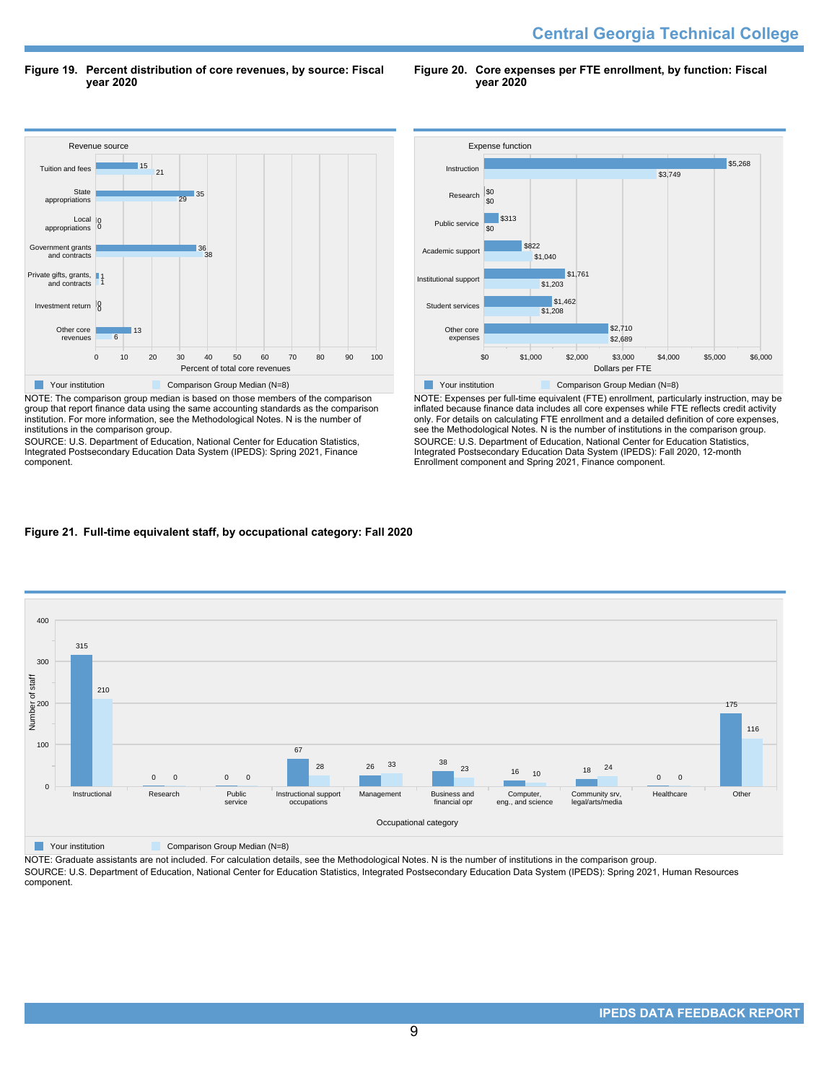**Central Georgia Technical College** 

**Figure 19. Percent distribution of core revenues, by source: Fiscal year 2020**

**Figure 20. Core expenses per FTE enrollment, by function: Fiscal year 2020**



NOTE: The comparison group median is based on those members of the comparison group that report finance data using the same accounting standards as the comparison institution. For more information, see the Methodological Notes. N is the number of institutions in the comparison group.

SOURCE: U.S. Department of Education, National Center for Education Statistics, Integrated Postsecondary Education Data System (IPEDS): Spring 2021, Finance component.



NOTE: Expenses per full-time equivalent (FTE) enrollment, particularly instruction, may be inflated because finance data includes all core expenses while FTE reflects credit activity only. For details on calculating FTE enrollment and a detailed definition of core expenses, see the Methodological Notes. N is the number of institutions in the comparison group. SOURCE: U.S. Department of Education, National Center for Education Statistics, Integrated Postsecondary Education Data System (IPEDS): Fall 2020, 12-month Enrollment component and Spring 2021, Finance component.

## **Figure 21. Full-time equivalent staff, by occupational category: Fall 2020**



NOTE: Graduate assistants are not included. For calculation details, see the Methodological Notes. N is the number of institutions in the comparison group. SOURCE: U.S. Department of Education, National Center for Education Statistics, Integrated Postsecondary Education Data System (IPEDS): Spring 2021, Human Resources component.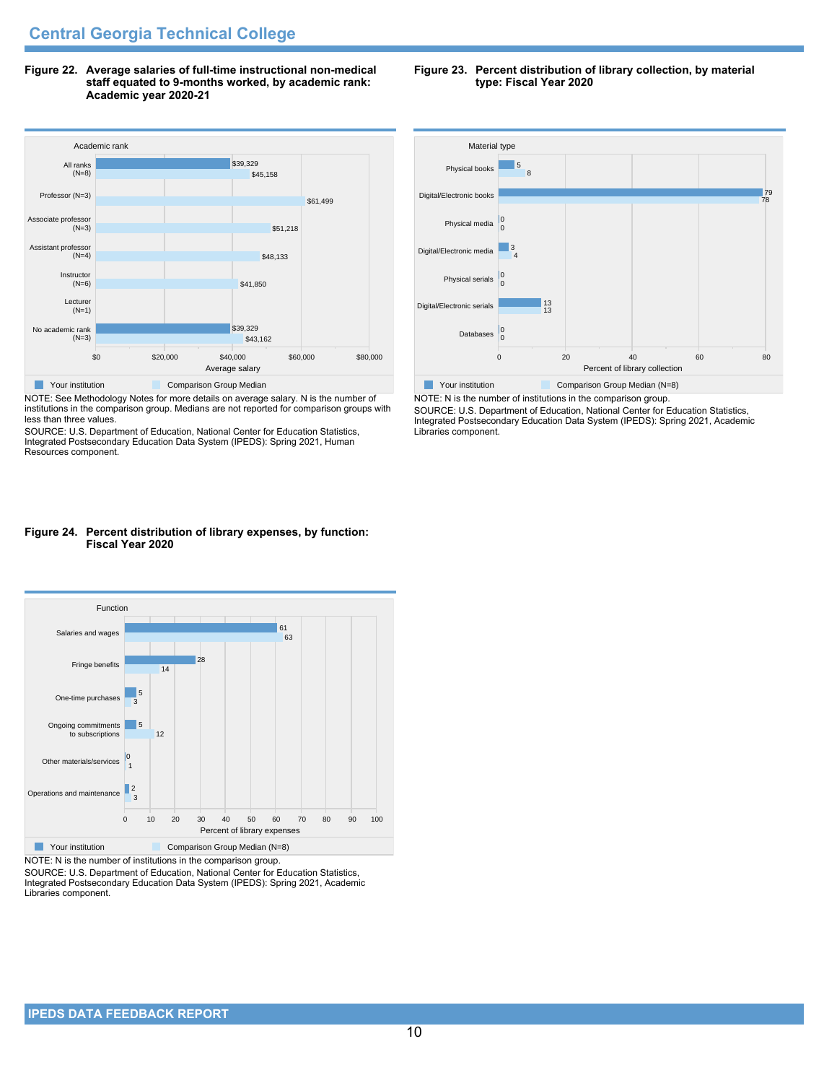**Figure 22. Average salaries of full-time instructional non-medical staff equated to 9-months worked, by academic rank: Academic year 2020-21**



NOTE: See Methodology Notes for more details on average salary. N is the number of institutions in the comparison group. Medians are not reported for comparison groups with less than three values.

SOURCE: U.S. Department of Education, National Center for Education Statistics, Integrated Postsecondary Education Data System (IPEDS): Spring 2021, Human Resources component.

## **Figure 24. Percent distribution of library expenses, by function: Fiscal Year 2020**



NOTE: N is the number of institutions in the comparison group.

SOURCE: U.S. Department of Education, National Center for Education Statistics, Integrated Postsecondary Education Data System (IPEDS): Spring 2021, Academic Libraries component.





NOTE: N is the number of institutions in the comparison group. SOURCE: U.S. Department of Education, National Center for Education Statistics, Integrated Postsecondary Education Data System (IPEDS): Spring 2021, Academic Libraries component.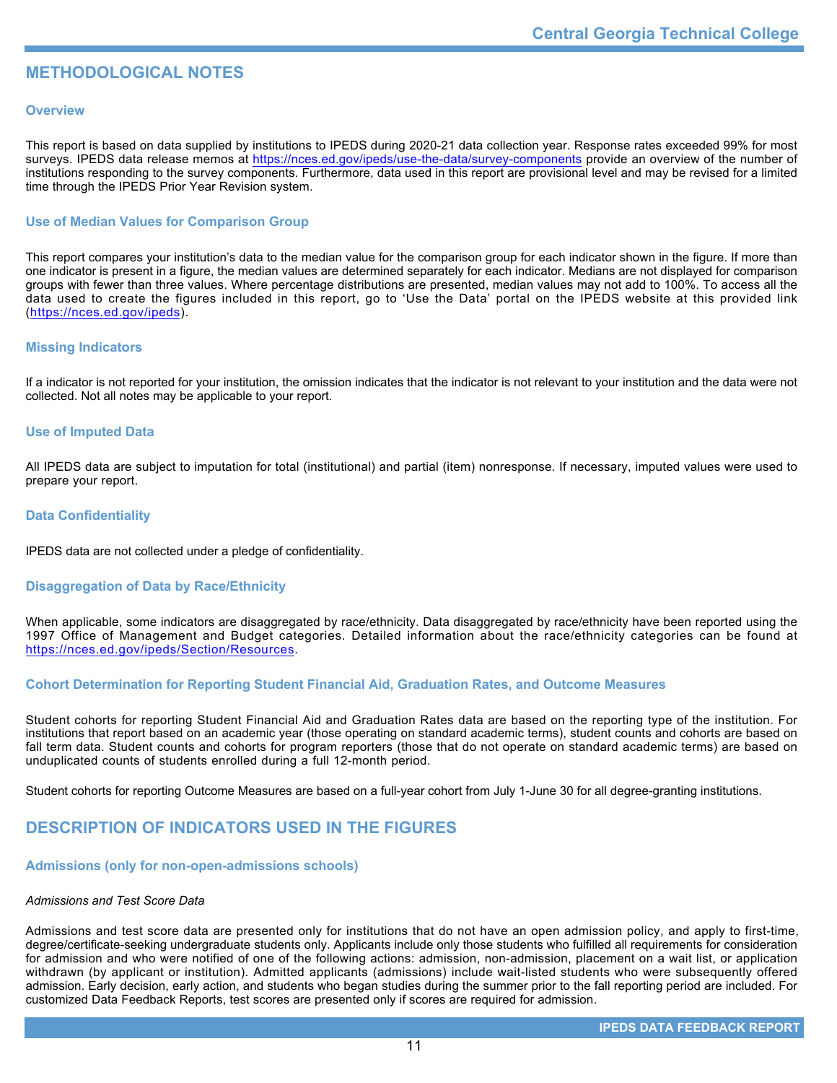## **METHODOLOGICAL NOTES**

## **Overview**

This report is based on data supplied by institutions to IPEDS during 2020-21 data collection year. Response rates exceeded 99% for most surveys. IPEDS data release memos at <https://nces.ed.gov/ipeds/use-the-data/survey-components> provide an overview of the number of institutions responding to the survey components. Furthermore, data used in this report are provisional level and may be revised for a limited time through the IPEDS Prior Year Revision system.

## **Use of Median Values for Comparison Group**

This report compares your institution's data to the median value for the comparison group for each indicator shown in the figure. If more than one indicator is present in a figure, the median values are determined separately for each indicator. Medians are not displayed for comparison groups with fewer than three values. Where percentage distributions are presented, median values may not add to 100%. To access all the data used to create the figures included in this report, go to 'Use the Data' portal on the IPEDS website at this provided link (<https://nces.ed.gov/ipeds>).

## **Missing Indicators**

If a indicator is not reported for your institution, the omission indicates that the indicator is not relevant to your institution and the data were not collected. Not all notes may be applicable to your report.

## **Use of Imputed Data**

All IPEDS data are subject to imputation for total (institutional) and partial (item) nonresponse. If necessary, imputed values were used to prepare your report.

## **Data Confidentiality**

IPEDS data are not collected under a pledge of confidentiality.

## **Disaggregation of Data by Race/Ethnicity**

When applicable, some indicators are disaggregated by race/ethnicity. Data disaggregated by race/ethnicity have been reported using the 1997 Office of Management and Budget categories. Detailed information about the race/ethnicity categories can be found at <https://nces.ed.gov/ipeds/Section/Resources>.

## **Cohort Determination for Reporting Student Financial Aid, Graduation Rates, and Outcome Measures**

Student cohorts for reporting Student Financial Aid and Graduation Rates data are based on the reporting type of the institution. For institutions that report based on an academic year (those operating on standard academic terms), student counts and cohorts are based on fall term data. Student counts and cohorts for program reporters (those that do not operate on standard academic terms) are based on unduplicated counts of students enrolled during a full 12-month period.

Student cohorts for reporting Outcome Measures are based on a full-year cohort from July 1-June 30 for all degree-granting institutions.

## **DESCRIPTION OF INDICATORS USED IN THE FIGURES**

## **Admissions (only for non-open-admissions schools)**

## *Admissions and Test Score Data*

Admissions and test score data are presented only for institutions that do not have an open admission policy, and apply to first-time, degree/certificate-seeking undergraduate students only. Applicants include only those students who fulfilled all requirements for consideration for admission and who were notified of one of the following actions: admission, non-admission, placement on a wait list, or application withdrawn (by applicant or institution). Admitted applicants (admissions) include wait-listed students who were subsequently offered admission. Early decision, early action, and students who began studies during the summer prior to the fall reporting period are included. For customized Data Feedback Reports, test scores are presented only if scores are required for admission.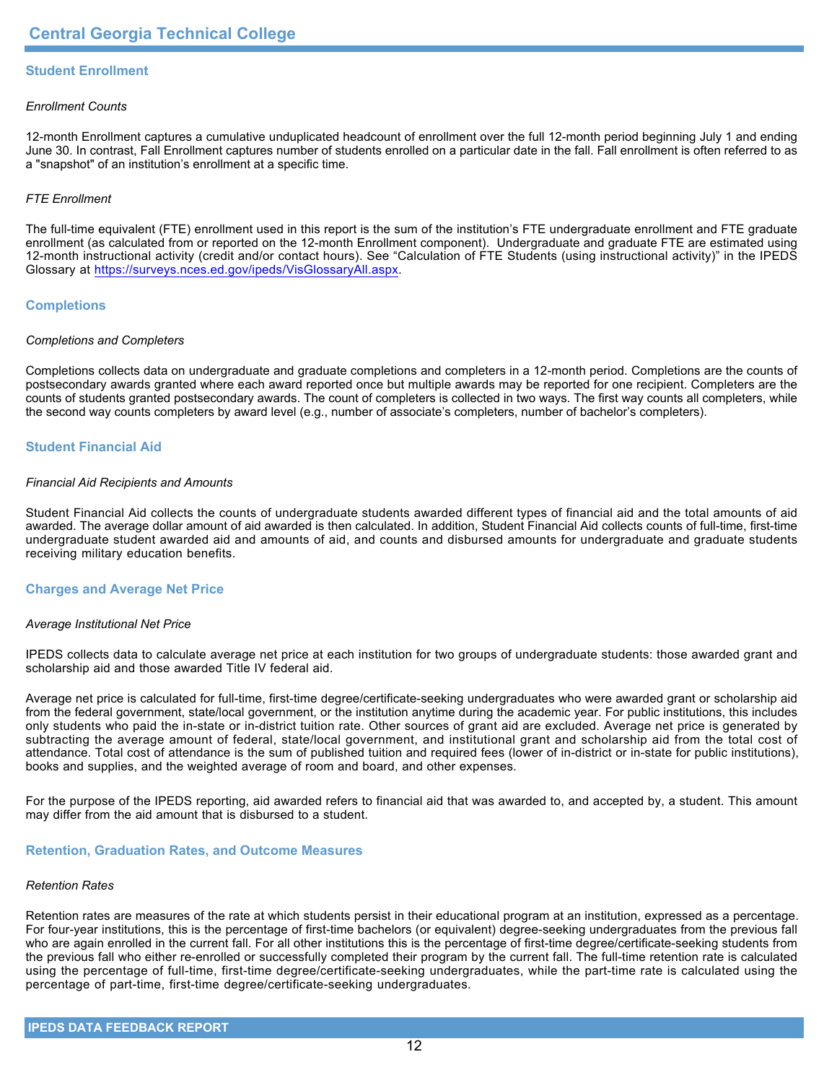## **Student Enrollment**

## *Enrollment Counts*

12-month Enrollment captures a cumulative unduplicated headcount of enrollment over the full 12-month period beginning July 1 and ending June 30. In contrast, Fall Enrollment captures number of students enrolled on a particular date in the fall. Fall enrollment is often referred to as a "snapshot" of an institution's enrollment at a specific time.

## *FTE Enrollment*

The full-time equivalent (FTE) enrollment used in this report is the sum of the institution's FTE undergraduate enrollment and FTE graduate enrollment (as calculated from or reported on the 12-month Enrollment component). Undergraduate and graduate FTE are estimated using 12-month instructional activity (credit and/or contact hours). See "Calculation of FTE Students (using instructional activity)" in the IPEDS Glossary at <https://surveys.nces.ed.gov/ipeds/VisGlossaryAll.aspx>.

## **Completions**

## *Completions and Completers*

Completions collects data on undergraduate and graduate completions and completers in a 12-month period. Completions are the counts of postsecondary awards granted where each award reported once but multiple awards may be reported for one recipient. Completers are the counts of students granted postsecondary awards. The count of completers is collected in two ways. The first way counts all completers, while the second way counts completers by award level (e.g., number of associate's completers, number of bachelor's completers).

## **Student Financial Aid**

### *Financial Aid Recipients and Amounts*

Student Financial Aid collects the counts of undergraduate students awarded different types of financial aid and the total amounts of aid awarded. The average dollar amount of aid awarded is then calculated. In addition, Student Financial Aid collects counts of full-time, first-time undergraduate student awarded aid and amounts of aid, and counts and disbursed amounts for undergraduate and graduate students receiving military education benefits.

## **Charges and Average Net Price**

## *Average Institutional Net Price*

IPEDS collects data to calculate average net price at each institution for two groups of undergraduate students: those awarded grant and scholarship aid and those awarded Title IV federal aid.

Average net price is calculated for full-time, first-time degree/certificate-seeking undergraduates who were awarded grant or scholarship aid from the federal government, state/local government, or the institution anytime during the academic year. For public institutions, this includes only students who paid the in-state or in-district tuition rate. Other sources of grant aid are excluded. Average net price is generated by subtracting the average amount of federal, state/local government, and institutional grant and scholarship aid from the total cost of attendance. Total cost of attendance is the sum of published tuition and required fees (lower of in-district or in-state for public institutions), books and supplies, and the weighted average of room and board, and other expenses.

For the purpose of the IPEDS reporting, aid awarded refers to financial aid that was awarded to, and accepted by, a student. This amount may differ from the aid amount that is disbursed to a student.

## **Retention, Graduation Rates, and Outcome Measures**

## *Retention Rates*

Retention rates are measures of the rate at which students persist in their educational program at an institution, expressed as a percentage. For four-year institutions, this is the percentage of first-time bachelors (or equivalent) degree-seeking undergraduates from the previous fall who are again enrolled in the current fall. For all other institutions this is the percentage of first-time degree/certificate-seeking students from the previous fall who either re-enrolled or successfully completed their program by the current fall. The full-time retention rate is calculated using the percentage of full-time, first-time degree/certificate-seeking undergraduates, while the part-time rate is calculated using the percentage of part-time, first-time degree/certificate-seeking undergraduates.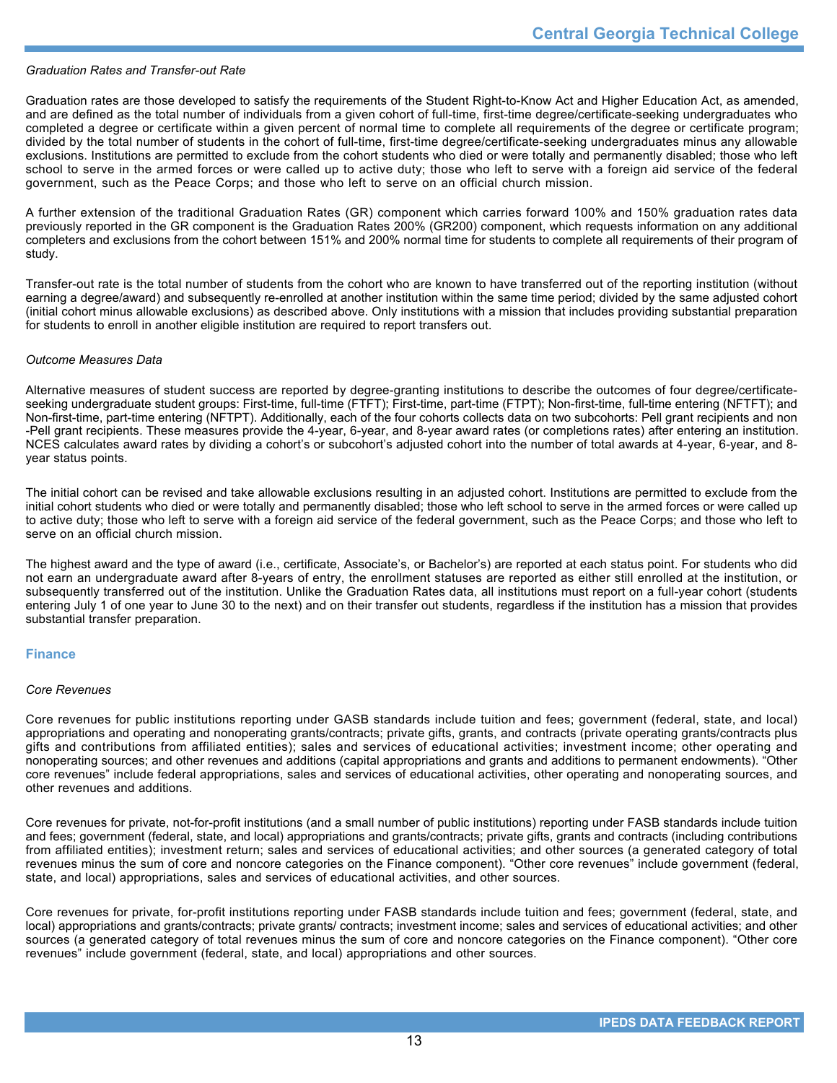## *Graduation Rates and Transfer-out Rate*

Graduation rates are those developed to satisfy the requirements of the Student Right-to-Know Act and Higher Education Act, as amended, and are defined as the total number of individuals from a given cohort of full-time, first-time degree/certificate-seeking undergraduates who completed a degree or certificate within a given percent of normal time to complete all requirements of the degree or certificate program; divided by the total number of students in the cohort of full-time, first-time degree/certificate-seeking undergraduates minus any allowable exclusions. Institutions are permitted to exclude from the cohort students who died or were totally and permanently disabled; those who left school to serve in the armed forces or were called up to active duty; those who left to serve with a foreign aid service of the federal government, such as the Peace Corps; and those who left to serve on an official church mission.

A further extension of the traditional Graduation Rates (GR) component which carries forward 100% and 150% graduation rates data previously reported in the GR component is the Graduation Rates 200% (GR200) component, which requests information on any additional completers and exclusions from the cohort between 151% and 200% normal time for students to complete all requirements of their program of study.

Transfer-out rate is the total number of students from the cohort who are known to have transferred out of the reporting institution (without earning a degree/award) and subsequently re-enrolled at another institution within the same time period; divided by the same adjusted cohort (initial cohort minus allowable exclusions) as described above. Only institutions with a mission that includes providing substantial preparation for students to enroll in another eligible institution are required to report transfers out.

### *Outcome Measures Data*

Alternative measures of student success are reported by degree-granting institutions to describe the outcomes of four degree/certificateseeking undergraduate student groups: First-time, full-time (FTFT); First-time, part-time (FTPT); Non-first-time, full-time entering (NFTFT); and Non-first-time, part-time entering (NFTPT). Additionally, each of the four cohorts collects data on two subcohorts: Pell grant recipients and non -Pell grant recipients. These measures provide the 4-year, 6-year, and 8-year award rates (or completions rates) after entering an institution. NCES calculates award rates by dividing a cohort's or subcohort's adjusted cohort into the number of total awards at 4-year, 6-year, and 8year status points.

The initial cohort can be revised and take allowable exclusions resulting in an adjusted cohort. Institutions are permitted to exclude from the initial cohort students who died or were totally and permanently disabled; those who left school to serve in the armed forces or were called up to active duty; those who left to serve with a foreign aid service of the federal government, such as the Peace Corps; and those who left to serve on an official church mission.

The highest award and the type of award (i.e., certificate, Associate's, or Bachelor's) are reported at each status point. For students who did not earn an undergraduate award after 8-years of entry, the enrollment statuses are reported as either still enrolled at the institution, or subsequently transferred out of the institution. Unlike the Graduation Rates data, all institutions must report on a full-year cohort (students entering July 1 of one year to June 30 to the next) and on their transfer out students, regardless if the institution has a mission that provides substantial transfer preparation.

## **Finance**

### *Core Revenues*

Core revenues for public institutions reporting under GASB standards include tuition and fees; government (federal, state, and local) appropriations and operating and nonoperating grants/contracts; private gifts, grants, and contracts (private operating grants/contracts plus gifts and contributions from affiliated entities); sales and services of educational activities; investment income; other operating and nonoperating sources; and other revenues and additions (capital appropriations and grants and additions to permanent endowments). "Other core revenues" include federal appropriations, sales and services of educational activities, other operating and nonoperating sources, and other revenues and additions.

Core revenues for private, not-for-profit institutions (and a small number of public institutions) reporting under FASB standards include tuition and fees; government (federal, state, and local) appropriations and grants/contracts; private gifts, grants and contracts (including contributions from affiliated entities); investment return; sales and services of educational activities; and other sources (a generated category of total revenues minus the sum of core and noncore categories on the Finance component). "Other core revenues" include government (federal, state, and local) appropriations, sales and services of educational activities, and other sources.

Core revenues for private, for-profit institutions reporting under FASB standards include tuition and fees; government (federal, state, and local) appropriations and grants/contracts; private grants/ contracts; investment income; sales and services of educational activities; and other sources (a generated category of total revenues minus the sum of core and noncore categories on the Finance component). "Other core revenues" include government (federal, state, and local) appropriations and other sources.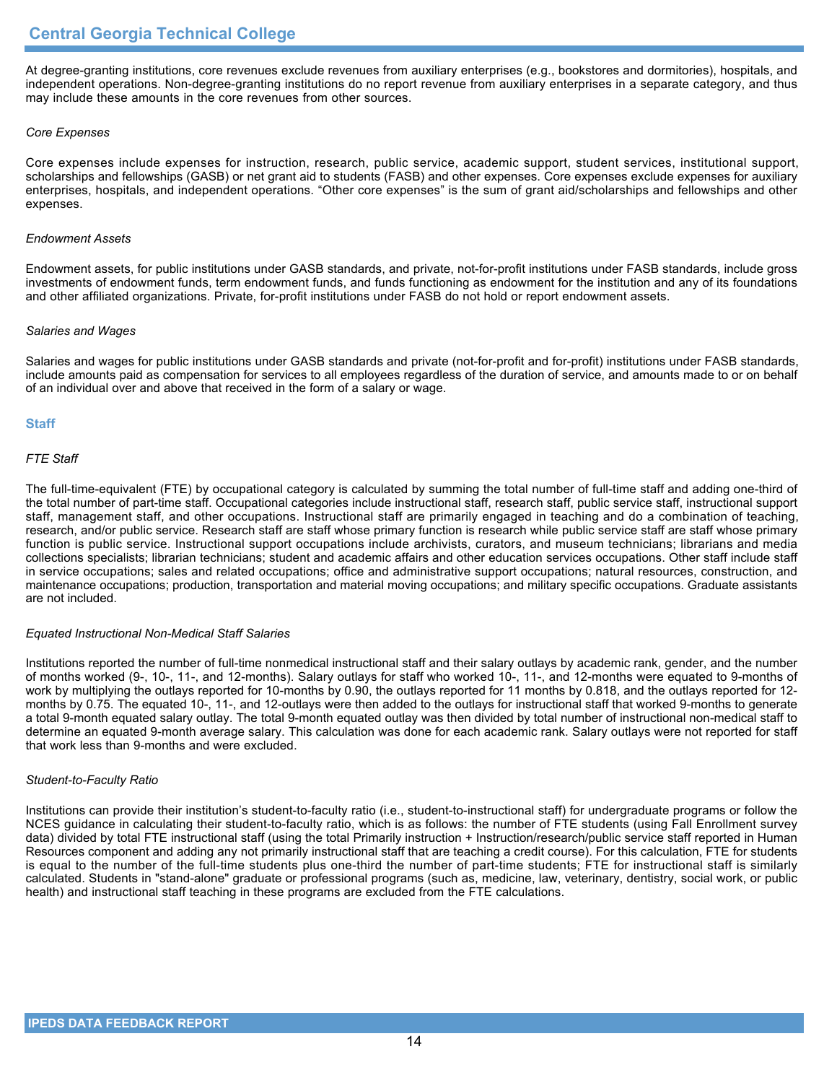At degree-granting institutions, core revenues exclude revenues from auxiliary enterprises (e.g., bookstores and dormitories), hospitals, and independent operations. Non-degree-granting institutions do no report revenue from auxiliary enterprises in a separate category, and thus may include these amounts in the core revenues from other sources.

## *Core Expenses*

Core expenses include expenses for instruction, research, public service, academic support, student services, institutional support, scholarships and fellowships (GASB) or net grant aid to students (FASB) and other expenses. Core expenses exclude expenses for auxiliary enterprises, hospitals, and independent operations. "Other core expenses" is the sum of grant aid/scholarships and fellowships and other expenses.

## *Endowment Assets*

Endowment assets, for public institutions under GASB standards, and private, not-for-profit institutions under FASB standards, include gross investments of endowment funds, term endowment funds, and funds functioning as endowment for the institution and any of its foundations and other affiliated organizations. Private, for-profit institutions under FASB do not hold or report endowment assets.

## *Salaries and Wages*

Salaries and wages for public institutions under GASB standards and private (not-for-profit and for-profit) institutions under FASB standards, include amounts paid as compensation for services to all employees regardless of the duration of service, and amounts made to or on behalf of an individual over and above that received in the form of a salary or wage.

## **Staff**

## *FTE Staff*

The full-time-equivalent (FTE) by occupational category is calculated by summing the total number of full-time staff and adding one-third of the total number of part-time staff. Occupational categories include instructional staff, research staff, public service staff, instructional support staff, management staff, and other occupations. Instructional staff are primarily engaged in teaching and do a combination of teaching, research, and/or public service. Research staff are staff whose primary function is research while public service staff are staff whose primary function is public service. Instructional support occupations include archivists, curators, and museum technicians; librarians and media collections specialists; librarian technicians; student and academic affairs and other education services occupations. Other staff include staff in service occupations; sales and related occupations; office and administrative support occupations; natural resources, construction, and maintenance occupations; production, transportation and material moving occupations; and military specific occupations. Graduate assistants are not included.

## *Equated Instructional Non-Medical Staff Salaries*

Institutions reported the number of full-time nonmedical instructional staff and their salary outlays by academic rank, gender, and the number of months worked (9-, 10-, 11-, and 12-months). Salary outlays for staff who worked 10-, 11-, and 12-months were equated to 9-months of work by multiplying the outlays reported for 10-months by 0.90, the outlays reported for 11 months by 0.818, and the outlays reported for 12 months by 0.75. The equated 10-, 11-, and 12-outlays were then added to the outlays for instructional staff that worked 9-months to generate a total 9-month equated salary outlay. The total 9-month equated outlay was then divided by total number of instructional non-medical staff to determine an equated 9-month average salary. This calculation was done for each academic rank. Salary outlays were not reported for staff that work less than 9-months and were excluded.

## *Student-to-Faculty Ratio*

Institutions can provide their institution's student-to-faculty ratio (i.e., student-to-instructional staff) for undergraduate programs or follow the NCES guidance in calculating their student-to-faculty ratio, which is as follows: the number of FTE students (using Fall Enrollment survey data) divided by total FTE instructional staff (using the total Primarily instruction + Instruction/research/public service staff reported in Human Resources component and adding any not primarily instructional staff that are teaching a credit course). For this calculation, FTE for students is equal to the number of the full-time students plus one-third the number of part-time students; FTE for instructional staff is similarly calculated. Students in "stand-alone" graduate or professional programs (such as, medicine, law, veterinary, dentistry, social work, or public health) and instructional staff teaching in these programs are excluded from the FTE calculations.